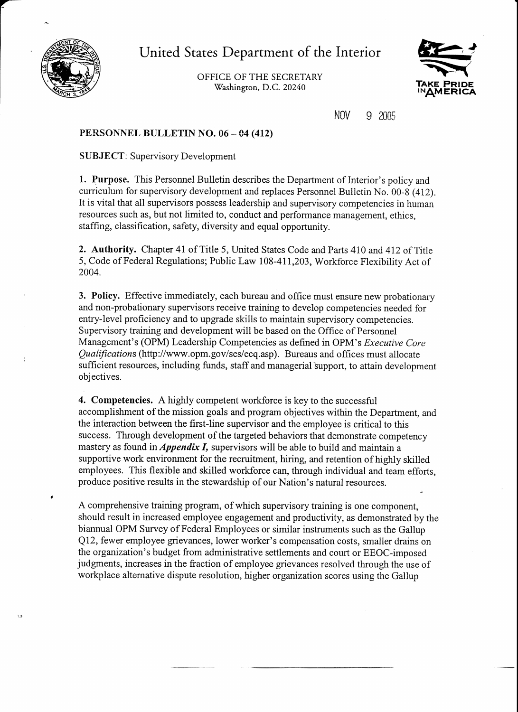

ورد

United States Department of the Interior

OFFICE OF THE SECRETARY Washington, D.C. 20240



NOV 9 2005

### PERSONNEL BULLETIN NO. 06- C4 (412)

SUBJECT: Supervisory Development

1. Purpose. This Personnel Bulletin describes the Department of Interior's policy and curriculum for supervisory development and replaces Personnel Bulletin No. 00-8 (412). It is vital that all supervisors possess leadership and supervisory competencies in human resources such as, but not limited to, conduct and performance management, ethics, staffing, classification, safety, diversity and equal opportunity.

2. Authority. Chapter 41 of Title 5, United States Code and Parts 410 and 412 of Title 5, Code of Federal Regulations; Public Law 108-411,203, Workforce Flexibility Act of 2004.

3. Policy. Effective immediately, each bureau and office must ensure new probationary and non-probationary supervisors receive training to develop competencies needed for entry-level proficiency and to upgrade skills to maintain supervisory competencies. Supervisory training and development will be based on the Office of Personnel Management's (OPM) Leadership Competencies as defmed in OPM's *Executive Core Qualifications* (http://www.opm.gov/ses/ecq.asp). Bureaus and offices must allocate sufficient resources, including funds, staff and managerial support, to attain development objectives.

4. Competencies. A highly competent workforce is key to the successful accomplishment of the mission goals and program objectives within the Department, and the interaction between the first-line supervisor and the employee is critical to this success. Through development of the targeted behaviors that demonstrate competency mastery as found in *Appendix I,* supervisors will be able to build and maintain a supportive work environment for the recruitment, hiring, and retention of highly skilled employees. This flexible and skilled workforce can, through individual and team efforts, produce positive results in the stewardship of our Nation's natural resources.

A comprehensive training program, ofwhich supervisory training is one component, should result in increased employee engagement and productivity, as demonstrated by the biannual OPM Survey of Federal Employees or similar instruments such as the Gallup Q12, fewer employee grievances, lower worker's compensation costs, smaller drains on the organization's budget from administrative settlements and court or EEOC-imposed judgments, increases in the fraction of employee grievances resolved through the use of workplace alternative dispute resolution, higher organization scores using the Gallup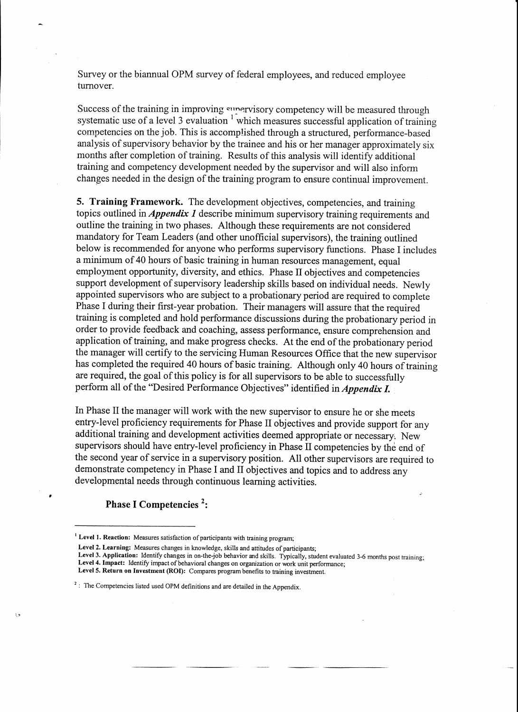Survey or the biannual OPM survey of federal employees, and reduced employee turnover.

Success of the training in improving supervisory competency will be measured through systematic use of a level 3 evaluation  $1$  which measures successful application of training competencies on the job. This is accomplished through a structured, performance-based analysis of supervisory behavior by the trainee and his or her manager approximately six months after completion of training. Results of this analysis will identify additional training and competency development needed by the supervisor and will also inform changes needed in the design of the training program to ensure continual improvement.

**5. Training Framework.** The development objectives, competencies, and training topics outlined in *Appendix 1* describe minimum supervisory training requirements and outline the training in two phases. Although these requirements are not considered mandatory for Team Leaders (and other unofficial supervisors), the training outlined below is recommended for anyone who performs supervisory functions. Phase I includes a minimum of40 hours of basic training in human resources management, equal employment opportunity, diversity, and ethics. Phase II objectives and competencies support development of supervisory leadership skills based on individual needs. Newly appointed supervisors who are subject to a probationary period are required to complete Phase I during their first-year probation. Their managers will assure that the required training is completed and hold performance discussions during the probationary period in order to provide feedback and coaching, assess performance, ensure comprehension and application of training, and make progress checks. At the end of the probationary period the manager will certify to the servicing Human Resources Office that the new supervisor has completed the required 40 hours of basic training. Although only 40 hours of training are required, the goal of this policy is for all supervisors to be able to successfully perform all of the "Desired Performance Objectives" identified in *Appendix I*.

In Phase II the manager will work with the new supervisor to ensure he or she meets entry-level proficiency requirements for Phase II objectives and provide support for any additional training and development activities deemed appropriate or necessary. New supervisors should have entry-level proficiency in Phase II competencies by the end of the second year of service in a supervisory position. All other supervisors are required to demonstrate competency in Phase I and II objectives and topics and to address any developmental needs through continuous learning activities.

#### **Phase I Competencies** 2:

- Leve13. Application: Identify changes in on-the-job behavior and skills. Typically, student evaluated 3-6 months post training; Leve14. Impact: Identify impact of behavioral changes on organization or work unit performance;
- Level 5. Return on Investment (ROI): Compares program benefits to training investment.

<sup>&</sup>lt;sup>1</sup> Level 1. Reaction: Measures satisfaction of participants with training program;

Level 2. Learning: Measures changes in knowledge, skills and attitudes of participants;

 $2$ : The Competencies listed used OPM definitions and are detailed in the Appendix.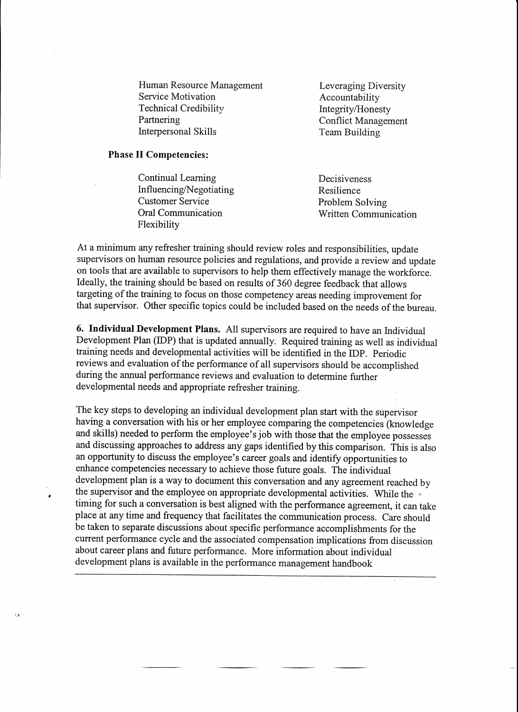Human Resource Management<br>
Service Motivation<br>
Accountability Service Motivation<br>Technical Credibility Technical Credibility Integrity/Honesty<br>
Partnering Conflict Managem Interpersonal Skills Team Building

**Conflict Management** 

#### Phase II Competencies:

 $\lambda$ 

Continual Learning Decisiveness Influencing/Negotiating Resilience<br>Customer Service Problem Service Customer Service<br>
Oral Communication<br>
Oral Communication<br>
Viritten Commun Flexibility

**Written Communication** 

At a minimum any refresher training should review roles and responsibilities, update supervisors on human resource policies and regulations, and provide a review and update on tools that are available to supervisors to help them effectively manage the workforce. Ideally, the training should be based on results of 360 degree feedback that allows targeting of the training to focus on those competency areas needing improvement for that supervisor. Other specific topics could be included based on the needs of the bureau.

6. Individual Development Plans. All supervisors are required to have an Individual Development Plan (IDP) that is updated annually. Required training as well as individual training needs and developmental activities will be identified in the IDP. Periodic reviews and evaluation of the performance of all supervisors should be accomplished during the annual performance reviews and evaluation to determine further developmental needs and appropriate refresher training.

The key steps to developing an individual development plan start with the supervisor having a conversation with his or her employee comparing the competencies (knowledge and skills) needed to perform the employee's job with those that the employee possesses and discussing approaches to address any gaps identified by this comparison. This is also an opportunity to discuss the employee's career goals and identify opportunities to enhance competencies necessary to achieve those future goals. The individual development plan is a way to document this conversation and any agreement reached by the supervisor and the employee on appropriate developmental activities. While the timing for such a conversation is best aligned with the performance agreement, it can take place at any time and frequency that facilitates the communication process. Care should be taken to separate discussions about specific performance accomplishments for the current performance cycle and the associated compensation implications from discussion about career plans and future performance. More information about individual · development plans is available in the performance management handbook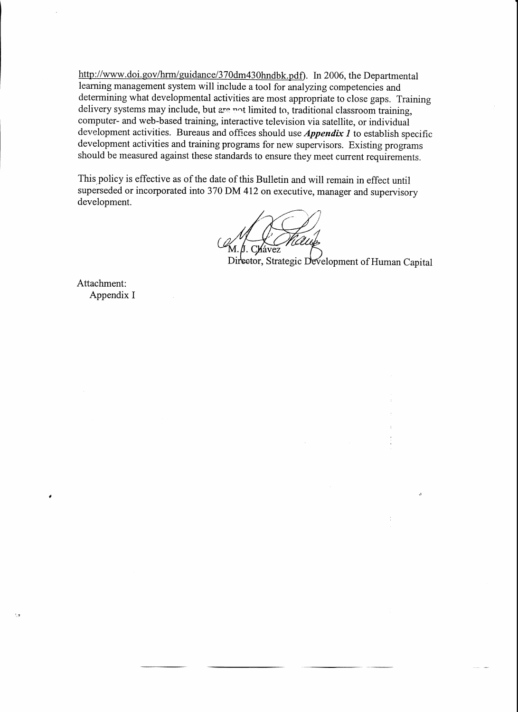http://www.doi.gov/hrm/guidance/370dm430hndbk.pdf). In 2006, the Departmental learning management system will include a tool for analyzing competencies and determining what developmental activities are most appropriate to close gaps. Training delivery systems may include, but are not limited to, traditional classroom training, computer- and web-based training, interactive television via satellite, or individual development activities. Bureaus and offices should use *Appendix 1* to establish specific development activities and training programs for new supervisors. Existing programs should be measured against these standards to ensure they meet current requirements.

This policy is effective as of the date of this Bulletin and will remain in effect until superseded or incorporated into 370 DM 412 on executive, manager and supervisory development.

Director, Strategic Development of Human Capital

Attachment: Appendix I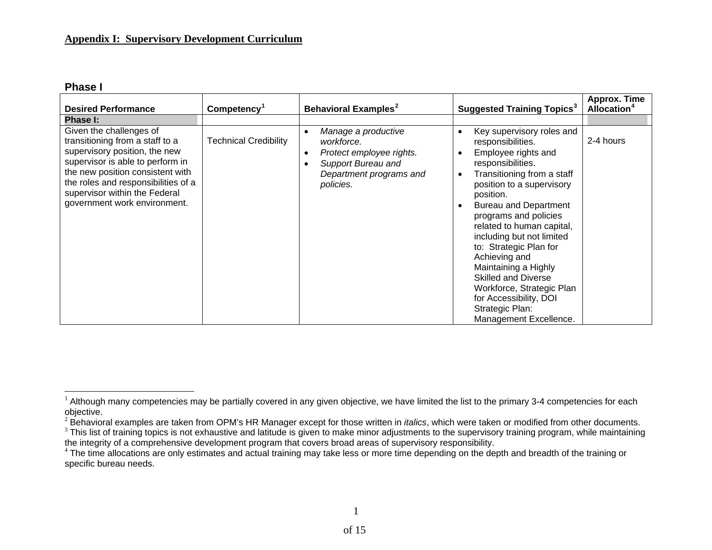**Phase I** 

| <b>Desired Performance</b>                                                                                                                                                                                                                                                  | Competency <sup>1</sup>      | <b>Behavioral Examples<sup>2</sup></b>                                                                                      | <b>Suggested Training Topics<sup>3</sup></b>                                                                                                                                                                                                                                                                                                                                                                                                                                                                                      | <b>Approx. Time</b><br><b>Allocation</b> <sup>4</sup> |
|-----------------------------------------------------------------------------------------------------------------------------------------------------------------------------------------------------------------------------------------------------------------------------|------------------------------|-----------------------------------------------------------------------------------------------------------------------------|-----------------------------------------------------------------------------------------------------------------------------------------------------------------------------------------------------------------------------------------------------------------------------------------------------------------------------------------------------------------------------------------------------------------------------------------------------------------------------------------------------------------------------------|-------------------------------------------------------|
| Phase I:                                                                                                                                                                                                                                                                    |                              |                                                                                                                             |                                                                                                                                                                                                                                                                                                                                                                                                                                                                                                                                   |                                                       |
| Given the challenges of<br>transitioning from a staff to a<br>supervisory position, the new<br>supervisor is able to perform in<br>the new position consistent with<br>the roles and responsibilities of a<br>supervisor within the Federal<br>government work environment. | <b>Technical Credibility</b> | Manage a productive<br>workforce.<br>Protect employee rights.<br>Support Bureau and<br>Department programs and<br>policies. | Key supervisory roles and<br>$\bullet$<br>responsibilities.<br>Employee rights and<br>responsibilities.<br>Transitioning from a staff<br>$\bullet$<br>position to a supervisory<br>position.<br><b>Bureau and Department</b><br>$\bullet$<br>programs and policies<br>related to human capital,<br>including but not limited<br>to: Strategic Plan for<br>Achieving and<br>Maintaining a Highly<br><b>Skilled and Diverse</b><br>Workforce, Strategic Plan<br>for Accessibility, DOI<br>Strategic Plan:<br>Management Excellence. | 2-4 hours                                             |

<span id="page-4-0"></span><sup>&</sup>lt;sup>1</sup> Although many competencies may be partially covered in any given objective, we have limited the list to the primary 3-4 competencies for each objective.

<span id="page-4-1"></span><sup>&</sup>lt;sup>2</sup> Behavioral examples are taken from OPM's HR Manager except for those written in *italics*, which were taken or modified from other documents.

<span id="page-4-2"></span><sup>&</sup>lt;sup>3</sup> This list of training topics is not exhaustive and latitude is given to make minor adjustments to the supervisory training program, while maintaining the integrity of a comprehensive development program that covers broad areas of supervisory responsibility.

<span id="page-4-3"></span><sup>&</sup>lt;sup>4</sup> The time allocations are only estimates and actual training may take less or more time depending on the depth and breadth of the training or specific bureau needs.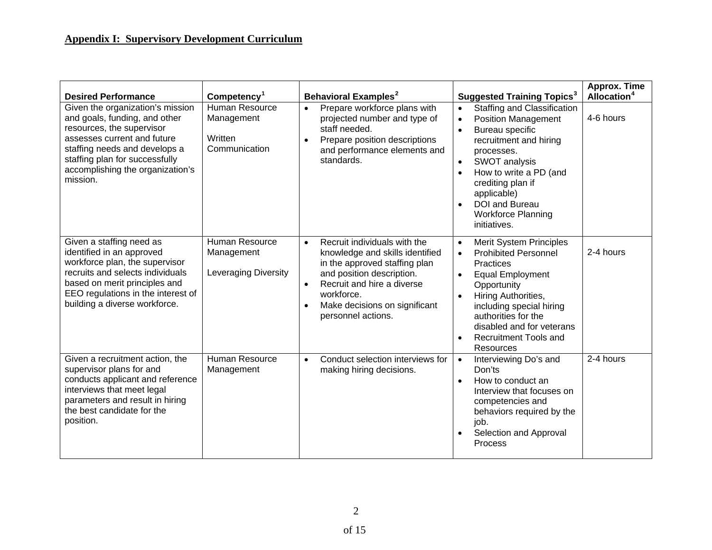| <b>Desired Performance</b>                                                                                                                                                                                                                       | Competency <sup>1</sup>                                            | Behavioral Examples <sup>2</sup>                                                                                                                                                                                                              | <b>Suggested Training Topics<sup>3</sup></b>                                                                                                                                                                                                                                                                                                                   | Approx. Time<br>Allocation <sup>4</sup> |
|--------------------------------------------------------------------------------------------------------------------------------------------------------------------------------------------------------------------------------------------------|--------------------------------------------------------------------|-----------------------------------------------------------------------------------------------------------------------------------------------------------------------------------------------------------------------------------------------|----------------------------------------------------------------------------------------------------------------------------------------------------------------------------------------------------------------------------------------------------------------------------------------------------------------------------------------------------------------|-----------------------------------------|
| Given the organization's mission<br>and goals, funding, and other<br>resources, the supervisor<br>assesses current and future<br>staffing needs and develops a<br>staffing plan for successfully<br>accomplishing the organization's<br>mission. | Human Resource<br>Management<br>Written<br>Communication           | Prepare workforce plans with<br>$\bullet$<br>projected number and type of<br>staff needed.<br>Prepare position descriptions<br>and performance elements and<br>standards.                                                                     | <b>Staffing and Classification</b><br>$\bullet$<br><b>Position Management</b><br>$\bullet$<br>Bureau specific<br>$\bullet$<br>recruitment and hiring<br>processes.<br>SWOT analysis<br>$\bullet$<br>How to write a PD (and<br>$\bullet$<br>crediting plan if<br>applicable)<br><b>DOI</b> and Bureau<br>$\bullet$<br><b>Workforce Planning</b><br>initiatives. | 4-6 hours                               |
| Given a staffing need as<br>identified in an approved<br>workforce plan, the supervisor<br>recruits and selects individuals<br>based on merit principles and<br>EEO regulations in the interest of<br>building a diverse workforce.              | <b>Human Resource</b><br>Management<br><b>Leveraging Diversity</b> | Recruit individuals with the<br>$\bullet$<br>knowledge and skills identified<br>in the approved staffing plan<br>and position description.<br>Recruit and hire a diverse<br>workforce.<br>Make decisions on significant<br>personnel actions. | <b>Merit System Principles</b><br>$\bullet$<br><b>Prohibited Personnel</b><br>$\bullet$<br><b>Practices</b><br><b>Equal Employment</b><br>$\bullet$<br>Opportunity<br>Hiring Authorities,<br>$\bullet$<br>including special hiring<br>authorities for the<br>disabled and for veterans<br><b>Recruitment Tools and</b><br>$\bullet$<br><b>Resources</b>        | 2-4 hours                               |
| Given a recruitment action, the<br>supervisor plans for and<br>conducts applicant and reference<br>interviews that meet legal<br>parameters and result in hiring<br>the best candidate for the<br>position.                                      | Human Resource<br>Management                                       | Conduct selection interviews for<br>$\bullet$<br>making hiring decisions.                                                                                                                                                                     | Interviewing Do's and<br>$\bullet$<br>Don'ts<br>How to conduct an<br>$\bullet$<br>Interview that focuses on<br>competencies and<br>behaviors required by the<br>job.<br>Selection and Approval<br>Process                                                                                                                                                      | 2-4 hours                               |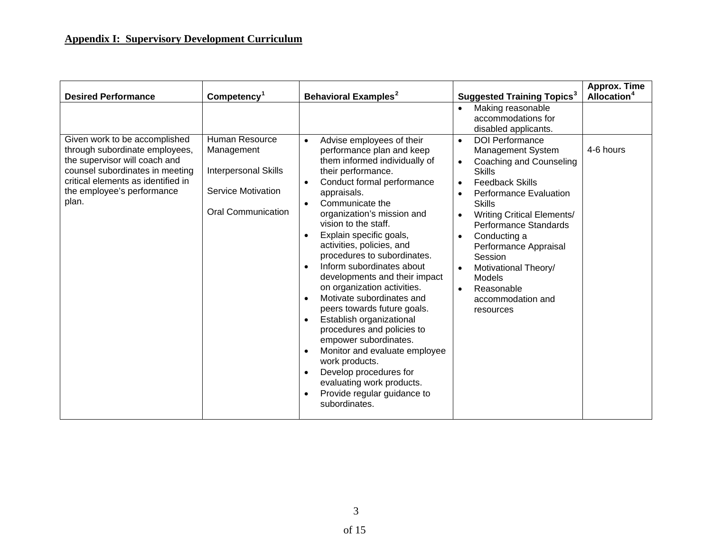|                                                                                                                                                                                                                                                |                                                                                                                                                  |                                                                                                                                                                                                                                                                                                                                                                                                                                                                                                        |                                                                                                                                                                                                                                                                                                                                                                                                                                    | <b>Approx. Time</b>                  |
|------------------------------------------------------------------------------------------------------------------------------------------------------------------------------------------------------------------------------------------------|--------------------------------------------------------------------------------------------------------------------------------------------------|--------------------------------------------------------------------------------------------------------------------------------------------------------------------------------------------------------------------------------------------------------------------------------------------------------------------------------------------------------------------------------------------------------------------------------------------------------------------------------------------------------|------------------------------------------------------------------------------------------------------------------------------------------------------------------------------------------------------------------------------------------------------------------------------------------------------------------------------------------------------------------------------------------------------------------------------------|--------------------------------------|
| <b>Desired Performance</b><br>Given work to be accomplished<br>through subordinate employees,<br>the supervisor will coach and<br>counsel subordinates in meeting<br>critical elements as identified in<br>the employee's performance<br>plan. | Competency <sup>1</sup><br>Human Resource<br>Management<br><b>Interpersonal Skills</b><br><b>Service Motivation</b><br><b>Oral Communication</b> | <b>Behavioral Examples<sup>2</sup></b><br>Advise employees of their<br>$\bullet$<br>performance plan and keep<br>them informed individually of<br>their performance.<br>Conduct formal performance<br>$\bullet$<br>appraisals.<br>Communicate the<br>organization's mission and<br>vision to the staff.                                                                                                                                                                                                | <b>Suggested Training Topics<sup>3</sup></b><br>Making reasonable<br>$\bullet$<br>accommodations for<br>disabled applicants.<br><b>DOI Performance</b><br>$\bullet$<br>Management System<br>Coaching and Counseling<br>$\bullet$<br><b>Skills</b><br><b>Feedback Skills</b><br>$\bullet$<br><b>Performance Evaluation</b><br>$\bullet$<br><b>Skills</b><br><b>Writing Critical Elements/</b><br>$\bullet$<br>Performance Standards | Allocation <sup>4</sup><br>4-6 hours |
|                                                                                                                                                                                                                                                |                                                                                                                                                  | Explain specific goals,<br>activities, policies, and<br>procedures to subordinates.<br>Inform subordinates about<br>developments and their impact<br>on organization activities.<br>Motivate subordinates and<br>peers towards future goals.<br>Establish organizational<br>procedures and policies to<br>empower subordinates.<br>Monitor and evaluate employee<br>work products.<br>Develop procedures for<br>$\bullet$<br>evaluating work products.<br>Provide regular guidance to<br>subordinates. | Conducting a<br>$\bullet$<br>Performance Appraisal<br>Session<br>Motivational Theory/<br>$\bullet$<br><b>Models</b><br>Reasonable<br>$\bullet$<br>accommodation and<br>resources                                                                                                                                                                                                                                                   |                                      |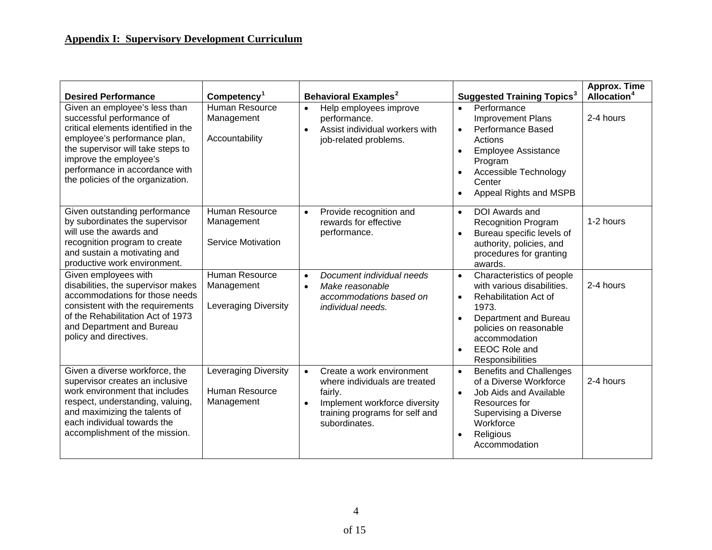| <b>Desired Performance</b>                                                                                                                                                                                                                                              | Competency <sup>1</sup>                                            | <b>Behavioral Examples<sup>2</sup></b>                                                                                                                                 | <b>Suggested Training Topics<sup>3</sup></b>                                                                                                                                                                                                                         | Approx. Time<br>Allocation <sup>4</sup> |
|-------------------------------------------------------------------------------------------------------------------------------------------------------------------------------------------------------------------------------------------------------------------------|--------------------------------------------------------------------|------------------------------------------------------------------------------------------------------------------------------------------------------------------------|----------------------------------------------------------------------------------------------------------------------------------------------------------------------------------------------------------------------------------------------------------------------|-----------------------------------------|
| Given an employee's less than<br>successful performance of<br>critical elements identified in the<br>employee's performance plan,<br>the supervisor will take steps to<br>improve the employee's<br>performance in accordance with<br>the policies of the organization. | Human Resource<br>Management<br>Accountability                     | Help employees improve<br>$\bullet$<br>performance.<br>Assist individual workers with<br>job-related problems.                                                         | Performance<br>$\bullet$<br><b>Improvement Plans</b><br><b>Performance Based</b><br>$\bullet$<br>Actions<br><b>Employee Assistance</b><br>$\bullet$<br>Program<br>Accessible Technology<br>$\bullet$<br>Center<br>Appeal Rights and MSPB<br>$\bullet$                | 2-4 hours                               |
| Given outstanding performance<br>by subordinates the supervisor<br>will use the awards and<br>recognition program to create<br>and sustain a motivating and<br>productive work environment.                                                                             | Human Resource<br>Management<br>Service Motivation                 | Provide recognition and<br>$\bullet$<br>rewards for effective<br>performance.                                                                                          | <b>DOI</b> Awards and<br>$\bullet$<br><b>Recognition Program</b><br>Bureau specific levels of<br>$\bullet$<br>authority, policies, and<br>procedures for granting<br>awards.                                                                                         | 1-2 hours                               |
| Given employees with<br>disabilities, the supervisor makes<br>accommodations for those needs<br>consistent with the requirements<br>of the Rehabilitation Act of 1973<br>and Department and Bureau<br>policy and directives.                                            | <b>Human Resource</b><br>Management<br><b>Leveraging Diversity</b> | Document individual needs<br>$\bullet$<br>Make reasonable<br>$\bullet$<br>accommodations based on<br><i>individual needs.</i>                                          | Characteristics of people<br>$\bullet$<br>with various disabilities.<br><b>Rehabilitation Act of</b><br>$\bullet$<br>1973.<br>Department and Bureau<br>$\bullet$<br>policies on reasonable<br>accommodation<br><b>EEOC Role and</b><br>$\bullet$<br>Responsibilities | 2-4 hours                               |
| Given a diverse workforce, the<br>supervisor creates an inclusive<br>work environment that includes<br>respect, understanding, valuing,<br>and maximizing the talents of<br>each individual towards the<br>accomplishment of the mission.                               | Leveraging Diversity<br>Human Resource<br>Management               | Create a work environment<br>$\bullet$<br>where individuals are treated<br>fairly.<br>Implement workforce diversity<br>training programs for self and<br>subordinates. | <b>Benefits and Challenges</b><br>$\bullet$<br>of a Diverse Workforce<br>Job Aids and Available<br>$\bullet$<br>Resources for<br>Supervising a Diverse<br>Workforce<br>Religious<br>$\bullet$<br>Accommodation                                                       | 2-4 hours                               |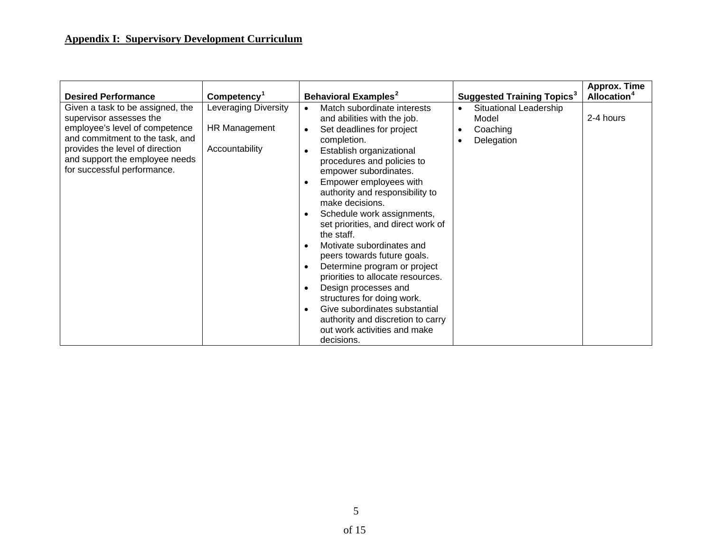| <b>Desired Performance</b>                                                                                                                                                                                                           | Competency <sup>1</sup>                                        | Behavioral Examples <sup>2</sup>                                                                                                                                                                                                                                                                                                                                                                                                                                                                                                                                                                                                                                                                 | <b>Suggested Training Topics<sup>3</sup></b>                                                     | <b>Approx. Time</b><br>Allocation <sup>4</sup> |
|--------------------------------------------------------------------------------------------------------------------------------------------------------------------------------------------------------------------------------------|----------------------------------------------------------------|--------------------------------------------------------------------------------------------------------------------------------------------------------------------------------------------------------------------------------------------------------------------------------------------------------------------------------------------------------------------------------------------------------------------------------------------------------------------------------------------------------------------------------------------------------------------------------------------------------------------------------------------------------------------------------------------------|--------------------------------------------------------------------------------------------------|------------------------------------------------|
| Given a task to be assigned, the<br>supervisor assesses the<br>employee's level of competence<br>and commitment to the task, and<br>provides the level of direction<br>and support the employee needs<br>for successful performance. | <b>Leveraging Diversity</b><br>HR Management<br>Accountability | Match subordinate interests<br>and abilities with the job.<br>Set deadlines for project<br>$\bullet$<br>completion.<br>Establish organizational<br>procedures and policies to<br>empower subordinates.<br>Empower employees with<br>authority and responsibility to<br>make decisions.<br>Schedule work assignments,<br>set priorities, and direct work of<br>the staff.<br>Motivate subordinates and<br>peers towards future goals.<br>Determine program or project<br>priorities to allocate resources.<br>Design processes and<br>$\bullet$<br>structures for doing work.<br>Give subordinates substantial<br>authority and discretion to carry<br>out work activities and make<br>decisions. | Situational Leadership<br>$\bullet$<br>Model<br>Coaching<br>$\bullet$<br>Delegation<br>$\bullet$ | 2-4 hours                                      |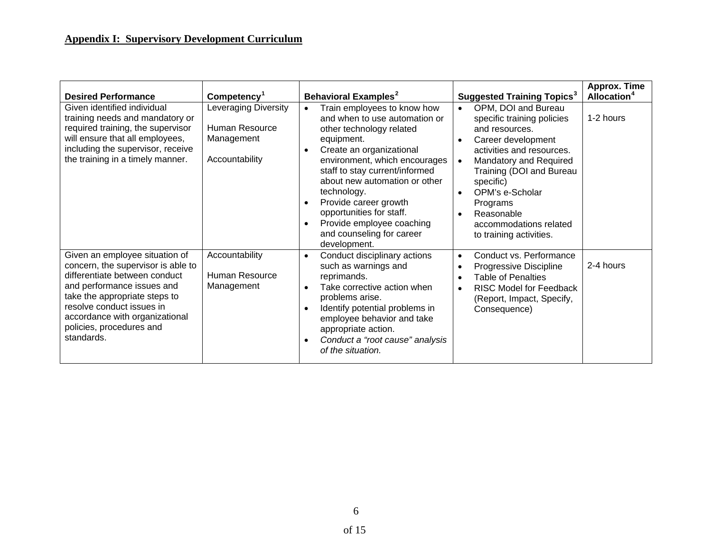| <b>Desired Performance</b>                                                                                                                                                                                                                                                    | Competency <sup>1</sup>                                                       | Behavioral Examples <sup>2</sup>                                                                                                                                                                                                                                                                                                                                                     | <b>Suggested Training Topics<sup>3</sup></b>                                                                                                                                                                                                                                                                                                                 | <b>Approx. Time</b><br>Allocation <sup>4</sup> |
|-------------------------------------------------------------------------------------------------------------------------------------------------------------------------------------------------------------------------------------------------------------------------------|-------------------------------------------------------------------------------|--------------------------------------------------------------------------------------------------------------------------------------------------------------------------------------------------------------------------------------------------------------------------------------------------------------------------------------------------------------------------------------|--------------------------------------------------------------------------------------------------------------------------------------------------------------------------------------------------------------------------------------------------------------------------------------------------------------------------------------------------------------|------------------------------------------------|
| Given identified individual<br>training needs and mandatory or<br>required training, the supervisor<br>will ensure that all employees,<br>including the supervisor, receive<br>the training in a timely manner.                                                               | <b>Leveraging Diversity</b><br>Human Resource<br>Management<br>Accountability | Train employees to know how<br>and when to use automation or<br>other technology related<br>equipment.<br>Create an organizational<br>environment, which encourages<br>staff to stay current/informed<br>about new automation or other<br>technology.<br>Provide career growth<br>opportunities for staff.<br>Provide employee coaching<br>and counseling for career<br>development. | OPM, DOI and Bureau<br>$\bullet$<br>specific training policies<br>and resources.<br>Career development<br>$\bullet$<br>activities and resources.<br>Mandatory and Required<br>$\bullet$<br>Training (DOI and Bureau<br>specific)<br>OPM's e-Scholar<br>$\bullet$<br>Programs<br>Reasonable<br>$\bullet$<br>accommodations related<br>to training activities. | 1-2 hours                                      |
| Given an employee situation of<br>concern, the supervisor is able to<br>differentiate between conduct<br>and performance issues and<br>take the appropriate steps to<br>resolve conduct issues in<br>accordance with organizational<br>policies, procedures and<br>standards. | Accountability<br>Human Resource<br>Management                                | Conduct disciplinary actions<br>$\bullet$<br>such as warnings and<br>reprimands.<br>Take corrective action when<br>$\bullet$<br>problems arise.<br>Identify potential problems in<br>employee behavior and take<br>appropriate action.<br>Conduct a "root cause" analysis<br>of the situation.                                                                                       | Conduct vs. Performance<br>$\bullet$<br>Progressive Discipline<br>$\bullet$<br><b>Table of Penalties</b><br>$\bullet$<br><b>RISC Model for Feedback</b><br>$\bullet$<br>(Report, Impact, Specify,<br>Consequence)                                                                                                                                            | 2-4 hours                                      |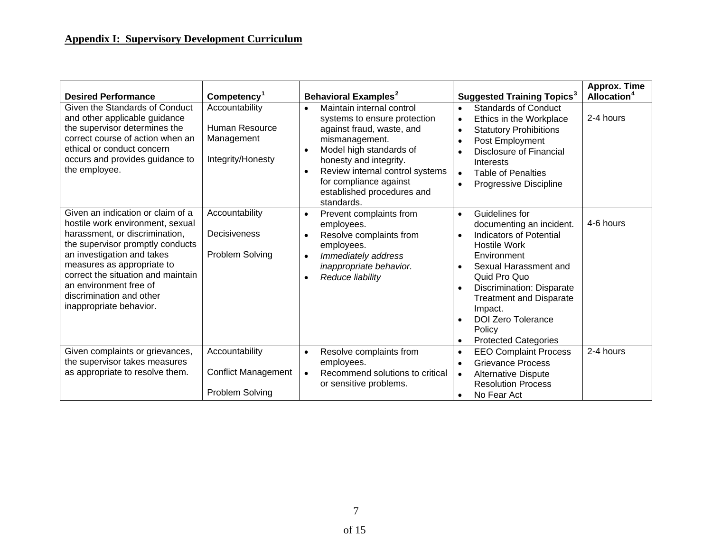| <b>Desired Performance</b>                                                                                                                                                                                                                                                                                                     | Competency <sup>1</sup>                                             | <b>Behavioral Examples<sup>2</sup></b>                                                                                                                                                                                                                                                                        | <b>Suggested Training Topics<sup>3</sup></b>                                                                                                                                                                                                                                                                                                                                       | Approx. Time<br>Allocation <sup>4</sup> |
|--------------------------------------------------------------------------------------------------------------------------------------------------------------------------------------------------------------------------------------------------------------------------------------------------------------------------------|---------------------------------------------------------------------|---------------------------------------------------------------------------------------------------------------------------------------------------------------------------------------------------------------------------------------------------------------------------------------------------------------|------------------------------------------------------------------------------------------------------------------------------------------------------------------------------------------------------------------------------------------------------------------------------------------------------------------------------------------------------------------------------------|-----------------------------------------|
| Given the Standards of Conduct<br>and other applicable guidance<br>the supervisor determines the<br>correct course of action when an<br>ethical or conduct concern<br>occurs and provides guidance to<br>the employee.                                                                                                         | Accountability<br>Human Resource<br>Management<br>Integrity/Honesty | Maintain internal control<br>$\bullet$<br>systems to ensure protection<br>against fraud, waste, and<br>mismanagement.<br>Model high standards of<br>$\bullet$<br>honesty and integrity.<br>Review internal control systems<br>$\bullet$<br>for compliance against<br>established procedures and<br>standards. | <b>Standards of Conduct</b><br>$\bullet$<br>Ethics in the Workplace<br>$\bullet$<br><b>Statutory Prohibitions</b><br>$\bullet$<br>Post Employment<br>$\bullet$<br><b>Disclosure of Financial</b><br>$\bullet$<br>Interests<br><b>Table of Penalties</b><br>$\bullet$<br>Progressive Discipline<br>$\bullet$                                                                        | 2-4 hours                               |
| Given an indication or claim of a<br>hostile work environment, sexual<br>harassment, or discrimination,<br>the supervisor promptly conducts<br>an investigation and takes<br>measures as appropriate to<br>correct the situation and maintain<br>an environment free of<br>discrimination and other<br>inappropriate behavior. | Accountability<br>Decisiveness<br>Problem Solving                   | Prevent complaints from<br>$\bullet$<br>employees.<br>Resolve complaints from<br>employees.<br>Immediately address<br>$\bullet$<br>inappropriate behavior.<br>Reduce liability                                                                                                                                | Guidelines for<br>$\bullet$<br>documenting an incident.<br>Indicators of Potential<br>$\bullet$<br><b>Hostile Work</b><br>Environment<br>Sexual Harassment and<br>$\bullet$<br>Quid Pro Quo<br>Discrimination: Disparate<br>$\bullet$<br><b>Treatment and Disparate</b><br>Impact.<br><b>DOI Zero Tolerance</b><br>$\bullet$<br>Policy<br><b>Protected Categories</b><br>$\bullet$ | 4-6 hours                               |
| Given complaints or grievances,<br>the supervisor takes measures<br>as appropriate to resolve them.                                                                                                                                                                                                                            | Accountability<br><b>Conflict Management</b><br>Problem Solving     | Resolve complaints from<br>$\bullet$<br>employees.<br>Recommend solutions to critical<br>$\bullet$<br>or sensitive problems.                                                                                                                                                                                  | <b>EEO Complaint Process</b><br>$\bullet$<br><b>Grievance Process</b><br>$\bullet$<br>Alternative Dispute<br>$\bullet$<br><b>Resolution Process</b><br>No Fear Act<br>$\bullet$                                                                                                                                                                                                    | 2-4 hours                               |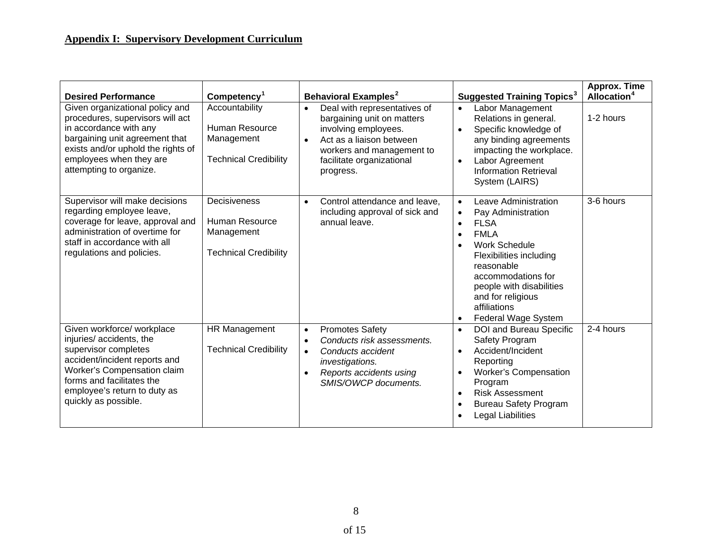| <b>Desired Performance</b>                                                                                                                                                                                                         | Competency <sup>1</sup>                                                        | <b>Behavioral Examples<sup>2</sup></b>                                                                                                                                                             | <b>Suggested Training Topics<sup>3</sup></b>                                                                                                                                                                                                                                                                                                 | Approx. Time<br>Allocation <sup>4</sup> |
|------------------------------------------------------------------------------------------------------------------------------------------------------------------------------------------------------------------------------------|--------------------------------------------------------------------------------|----------------------------------------------------------------------------------------------------------------------------------------------------------------------------------------------------|----------------------------------------------------------------------------------------------------------------------------------------------------------------------------------------------------------------------------------------------------------------------------------------------------------------------------------------------|-----------------------------------------|
| Given organizational policy and<br>procedures, supervisors will act<br>in accordance with any<br>bargaining unit agreement that<br>exists and/or uphold the rights of<br>employees when they are<br>attempting to organize.        | Accountability<br>Human Resource<br>Management<br><b>Technical Credibility</b> | Deal with representatives of<br>$\bullet$<br>bargaining unit on matters<br>involving employees.<br>Act as a liaison between<br>workers and management to<br>facilitate organizational<br>progress. | Labor Management<br>$\bullet$<br>Relations in general.<br>Specific knowledge of<br>$\bullet$<br>any binding agreements<br>impacting the workplace.<br>Labor Agreement<br>$\bullet$<br><b>Information Retrieval</b><br>System (LAIRS)                                                                                                         | 1-2 hours                               |
| Supervisor will make decisions<br>regarding employee leave,<br>coverage for leave, approval and<br>administration of overtime for<br>staff in accordance with all<br>regulations and policies.                                     | Decisiveness<br>Human Resource<br>Management<br><b>Technical Credibility</b>   | Control attendance and leave,<br>including approval of sick and<br>annual leave.                                                                                                                   | Leave Administration<br>$\bullet$<br>Pay Administration<br>$\bullet$<br><b>FLSA</b><br>$\bullet$<br><b>FMLA</b><br>$\bullet$<br><b>Work Schedule</b><br>$\bullet$<br><b>Flexibilities including</b><br>reasonable<br>accommodations for<br>people with disabilities<br>and for religious<br>affiliations<br>Federal Wage System<br>$\bullet$ | 3-6 hours                               |
| Given workforce/ workplace<br>injuries/accidents, the<br>supervisor completes<br>accident/incident reports and<br>Worker's Compensation claim<br>forms and facilitates the<br>employee's return to duty as<br>quickly as possible. | HR Management<br><b>Technical Credibility</b>                                  | <b>Promotes Safety</b><br>$\bullet$<br>Conducts risk assessments.<br>Conducts accident<br>$\bullet$<br>investigations.<br>Reports accidents using<br>SMIS/OWCP documents.                          | DOI and Bureau Specific<br>$\bullet$<br>Safety Program<br>Accident/Incident<br>$\bullet$<br>Reporting<br><b>Worker's Compensation</b><br>$\bullet$<br>Program<br><b>Risk Assessment</b><br>$\bullet$<br><b>Bureau Safety Program</b><br>$\bullet$<br>Legal Liabilities<br>$\bullet$                                                          | 2-4 hours                               |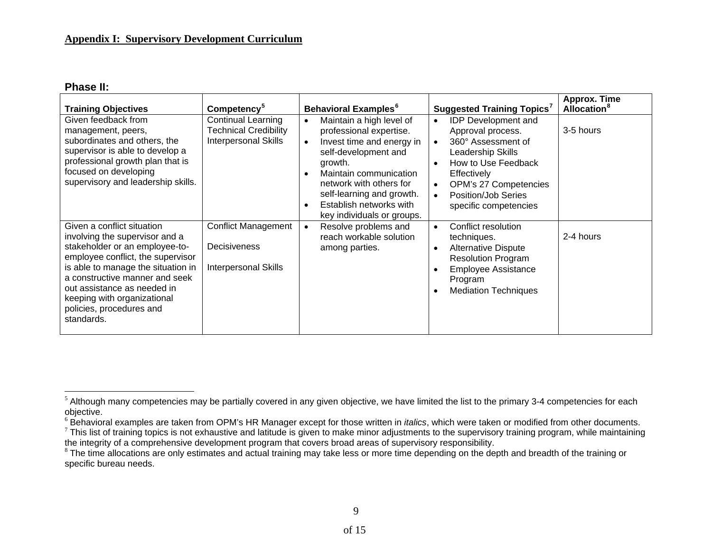#### **Phase II:**

| <b>Training Objectives</b>                                                                                                                                                                                                                                                                                          | Competency <sup>5</sup>                                                                  | <b>Behavioral Examples</b> <sup>6</sup>                                                                                                                                                                                                                                                  | <b>Suggested Training Topics<sup>7</sup></b>                                                                                                                                                                                                                               | <b>Approx. Time</b><br><b>Allocation</b> <sup>8</sup> |
|---------------------------------------------------------------------------------------------------------------------------------------------------------------------------------------------------------------------------------------------------------------------------------------------------------------------|------------------------------------------------------------------------------------------|------------------------------------------------------------------------------------------------------------------------------------------------------------------------------------------------------------------------------------------------------------------------------------------|----------------------------------------------------------------------------------------------------------------------------------------------------------------------------------------------------------------------------------------------------------------------------|-------------------------------------------------------|
| Given feedback from<br>management, peers,<br>subordinates and others, the<br>supervisor is able to develop a<br>professional growth plan that is<br>focused on developing<br>supervisory and leadership skills.                                                                                                     | <b>Continual Learning</b><br><b>Technical Credibility</b><br><b>Interpersonal Skills</b> | Maintain a high level of<br>$\bullet$<br>professional expertise.<br>Invest time and energy in<br>$\bullet$<br>self-development and<br>growth.<br>Maintain communication<br>network with others for<br>self-learning and growth.<br>Establish networks with<br>key individuals or groups. | <b>IDP</b> Development and<br>$\bullet$<br>Approval process.<br>360° Assessment of<br>$\bullet$<br>Leadership Skills<br>How to Use Feedback<br>$\bullet$<br>Effectively<br>OPM's 27 Competencies<br>$\bullet$<br>Position/Job Series<br>$\bullet$<br>specific competencies | 3-5 hours                                             |
| Given a conflict situation<br>involving the supervisor and a<br>stakeholder or an employee-to-<br>employee conflict, the supervisor<br>is able to manage the situation in<br>a constructive manner and seek<br>out assistance as needed in<br>keeping with organizational<br>policies, procedures and<br>standards. | <b>Conflict Management</b><br>Decisiveness<br><b>Interpersonal Skills</b>                | Resolve problems and<br>reach workable solution<br>among parties.                                                                                                                                                                                                                        | Conflict resolution<br>$\bullet$<br>techniques.<br><b>Alternative Dispute</b><br>$\bullet$<br><b>Resolution Program</b><br><b>Employee Assistance</b><br>$\bullet$<br>Program<br><b>Mediation Techniques</b><br>$\bullet$                                                  | 2-4 hours                                             |

<span id="page-12-0"></span><sup>&</sup>lt;sup>5</sup> Although many competencies may be partially covered in any given objective, we have limited the list to the primary 3-4 competencies for each objective.

<span id="page-12-1"></span><sup>&</sup>lt;sup>6</sup> Behavioral examples are taken from OPM's HR Manager except for those written in *italics*, which were taken or modified from other documents.

<span id="page-12-2"></span> $7$  This list of training topics is not exhaustive and latitude is given to make minor adjustments to the supervisory training program, while maintaining the integrity of a comprehensive development program that covers broad areas of supervisory responsibility.

<span id="page-12-3"></span><sup>&</sup>lt;sup>8</sup> The time allocations are only estimates and actual training may take less or more time depending on the depth and breadth of the training or specific bureau needs.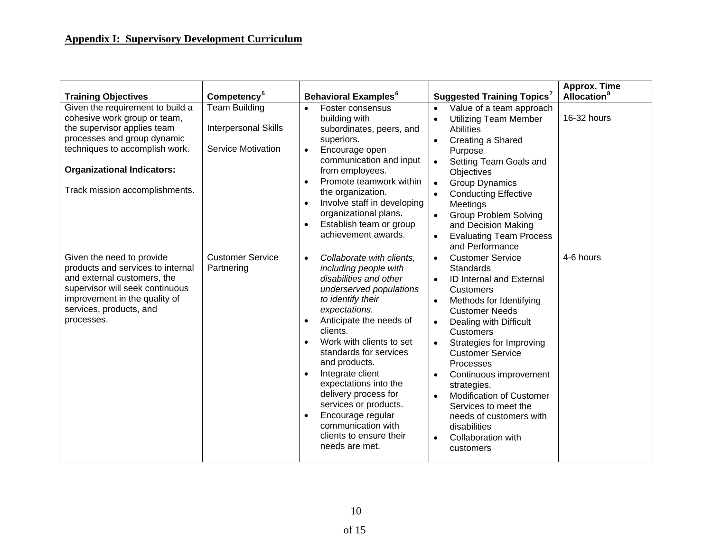| <b>Training Objectives</b>                                                                                                                                                                                                              | Competency <sup>5</sup>                                                   | <b>Behavioral Examples</b> <sup>6</sup>                                                                                                                                                                                                                                                                                                                                                                                                                                                  | <b>Suggested Training Topics</b> <sup>7</sup>                                                                                                                                                                                                                                                                                                                                                                                                                                                                                     | Approx. Time<br><b>Allocation</b> <sup>8</sup> |
|-----------------------------------------------------------------------------------------------------------------------------------------------------------------------------------------------------------------------------------------|---------------------------------------------------------------------------|------------------------------------------------------------------------------------------------------------------------------------------------------------------------------------------------------------------------------------------------------------------------------------------------------------------------------------------------------------------------------------------------------------------------------------------------------------------------------------------|-----------------------------------------------------------------------------------------------------------------------------------------------------------------------------------------------------------------------------------------------------------------------------------------------------------------------------------------------------------------------------------------------------------------------------------------------------------------------------------------------------------------------------------|------------------------------------------------|
| Given the requirement to build a<br>cohesive work group or team,<br>the supervisor applies team<br>processes and group dynamic<br>techniques to accomplish work.<br><b>Organizational Indicators:</b><br>Track mission accomplishments. | <b>Team Building</b><br>Interpersonal Skills<br><b>Service Motivation</b> | Foster consensus<br>$\bullet$<br>building with<br>subordinates, peers, and<br>superiors.<br>Encourage open<br>$\bullet$<br>communication and input<br>from employees.<br>Promote teamwork within<br>the organization.<br>Involve staff in developing<br>organizational plans.<br>Establish team or group<br>achievement awards.                                                                                                                                                          | Value of a team approach<br>$\bullet$<br><b>Utilizing Team Member</b><br>$\bullet$<br><b>Abilities</b><br>Creating a Shared<br>Purpose<br>Setting Team Goals and<br>Objectives<br><b>Group Dynamics</b><br>$\bullet$<br><b>Conducting Effective</b><br>Meetings<br><b>Group Problem Solving</b><br>$\bullet$<br>and Decision Making<br><b>Evaluating Team Process</b><br>and Performance                                                                                                                                          | 16-32 hours                                    |
| Given the need to provide<br>products and services to internal<br>and external customers, the<br>supervisor will seek continuous<br>improvement in the quality of<br>services, products, and<br>processes.                              | <b>Customer Service</b><br>Partnering                                     | Collaborate with clients,<br>$\bullet$<br>including people with<br>disabilities and other<br>underserved populations<br>to identify their<br>expectations.<br>Anticipate the needs of<br>clients.<br>Work with clients to set<br>standards for services<br>and products.<br>Integrate client<br>$\bullet$<br>expectations into the<br>delivery process for<br>services or products.<br>Encourage regular<br>$\bullet$<br>communication with<br>clients to ensure their<br>needs are met. | <b>Customer Service</b><br>$\bullet$<br>Standards<br><b>ID Internal and External</b><br><b>Customers</b><br>Methods for Identifying<br>$\bullet$<br><b>Customer Needs</b><br>Dealing with Difficult<br>$\bullet$<br><b>Customers</b><br>Strategies for Improving<br><b>Customer Service</b><br>Processes<br>Continuous improvement<br>$\bullet$<br>strategies.<br><b>Modification of Customer</b><br>$\bullet$<br>Services to meet the<br>needs of customers with<br>disabilities<br>Collaboration with<br>$\bullet$<br>customers | 4-6 hours                                      |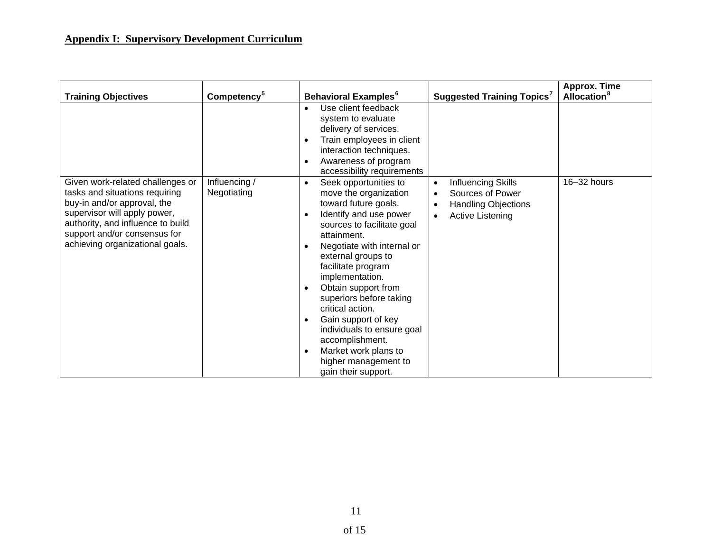| <b>Training Objectives</b>                                                                                                                                                                                                                | Competency <sup>5</sup>      | <b>Behavioral Examples</b> <sup>6</sup>                                                                                                                                                                                                                                                                                                                                                                                                                              | <b>Suggested Training Topics'</b>                                                                                                                   | Approx. Time<br><b>Allocation</b> <sup>8</sup> |
|-------------------------------------------------------------------------------------------------------------------------------------------------------------------------------------------------------------------------------------------|------------------------------|----------------------------------------------------------------------------------------------------------------------------------------------------------------------------------------------------------------------------------------------------------------------------------------------------------------------------------------------------------------------------------------------------------------------------------------------------------------------|-----------------------------------------------------------------------------------------------------------------------------------------------------|------------------------------------------------|
|                                                                                                                                                                                                                                           |                              | Use client feedback<br>system to evaluate<br>delivery of services.<br>Train employees in client<br>interaction techniques.<br>Awareness of program<br>٠<br>accessibility requirements                                                                                                                                                                                                                                                                                |                                                                                                                                                     |                                                |
| Given work-related challenges or<br>tasks and situations requiring<br>buy-in and/or approval, the<br>supervisor will apply power,<br>authority, and influence to build<br>support and/or consensus for<br>achieving organizational goals. | Influencing /<br>Negotiating | Seek opportunities to<br>٠<br>move the organization<br>toward future goals.<br>Identify and use power<br>sources to facilitate goal<br>attainment.<br>Negotiate with internal or<br>external groups to<br>facilitate program<br>implementation.<br>Obtain support from<br>superiors before taking<br>critical action.<br>Gain support of key<br>individuals to ensure goal<br>accomplishment.<br>Market work plans to<br>higher management to<br>gain their support. | Influencing Skills<br>$\bullet$<br>Sources of Power<br>$\bullet$<br><b>Handling Objections</b><br>$\bullet$<br><b>Active Listening</b><br>$\bullet$ | 16-32 hours                                    |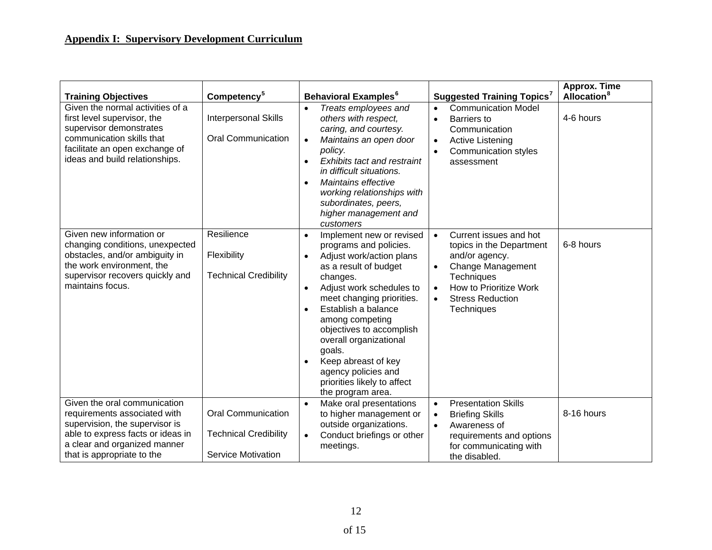| <b>Training Objectives</b>                                                                                                                                                                        | Competency <sup>5</sup>                                                                | <b>Behavioral Examples<sup>6</sup></b>                                                                                                                                                                                                                                                                                                                                                                | <b>Suggested Training Topics</b> <sup>7</sup>                                                                                                                                                                     | Approx. Time<br>Allocation <sup>8</sup> |
|---------------------------------------------------------------------------------------------------------------------------------------------------------------------------------------------------|----------------------------------------------------------------------------------------|-------------------------------------------------------------------------------------------------------------------------------------------------------------------------------------------------------------------------------------------------------------------------------------------------------------------------------------------------------------------------------------------------------|-------------------------------------------------------------------------------------------------------------------------------------------------------------------------------------------------------------------|-----------------------------------------|
| Given the normal activities of a<br>first level supervisor, the<br>supervisor demonstrates<br>communication skills that<br>facilitate an open exchange of<br>ideas and build relationships.       | <b>Interpersonal Skills</b><br><b>Oral Communication</b>                               | Treats employees and<br>$\bullet$<br>others with respect,<br>caring, and courtesy.<br>Maintains an open door<br>$\bullet$<br>policy.<br><b>Exhibits tact and restraint</b><br>in difficult situations.<br>Maintains effective<br>working relationships with<br>subordinates, peers,<br>higher management and<br>customers                                                                             | <b>Communication Model</b><br>$\bullet$<br>Barriers to<br>$\bullet$<br>Communication<br><b>Active Listening</b><br>$\bullet$<br><b>Communication styles</b><br>assessment                                         | 4-6 hours                               |
| Given new information or<br>changing conditions, unexpected<br>obstacles, and/or ambiguity in<br>the work environment, the<br>supervisor recovers quickly and<br>maintains focus.                 | Resilience<br>Flexibility<br><b>Technical Credibility</b>                              | Implement new or revised<br>$\bullet$<br>programs and policies.<br>Adjust work/action plans<br>as a result of budget<br>changes.<br>Adjust work schedules to<br>meet changing priorities.<br>Establish a balance<br>among competing<br>objectives to accomplish<br>overall organizational<br>goals.<br>Keep abreast of key<br>agency policies and<br>priorities likely to affect<br>the program area. | Current issues and hot<br>$\bullet$<br>topics in the Department<br>and/or agency.<br>Change Management<br>$\bullet$<br>Techniques<br>How to Prioritize Work<br>$\bullet$<br><b>Stress Reduction</b><br>Techniques | 6-8 hours                               |
| Given the oral communication<br>requirements associated with<br>supervision, the supervisor is<br>able to express facts or ideas in<br>a clear and organized manner<br>that is appropriate to the | <b>Oral Communication</b><br><b>Technical Credibility</b><br><b>Service Motivation</b> | Make oral presentations<br>$\bullet$<br>to higher management or<br>outside organizations.<br>Conduct briefings or other<br>$\bullet$<br>meetings.                                                                                                                                                                                                                                                     | <b>Presentation Skills</b><br>$\bullet$<br><b>Briefing Skills</b><br>$\bullet$<br>Awareness of<br>$\bullet$<br>requirements and options<br>for communicating with<br>the disabled.                                | 8-16 hours                              |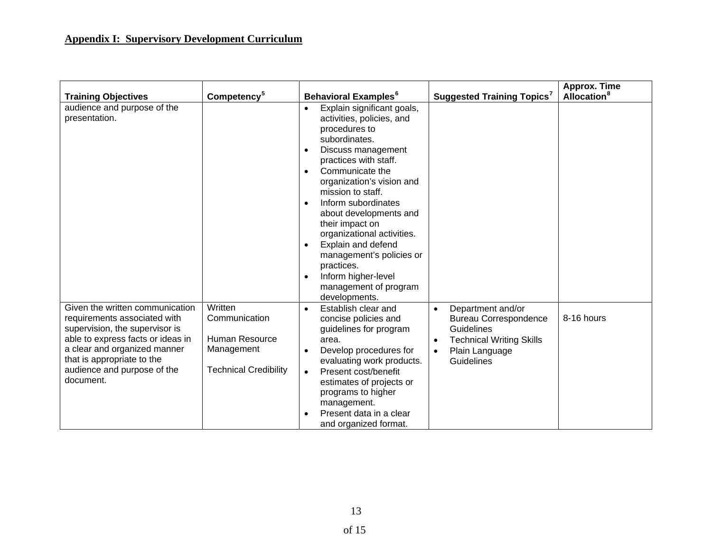| <b>Training Objectives</b>                                                                                                                                                                                                                       | Competency <sup>5</sup>                                                                  | <b>Behavioral Examples<sup>6</sup></b>                                                                                                                                                                                                                                                                                                                                                                                                                                                  | <b>Suggested Training Topics<sup>7</sup></b>                                                                                                                  | Approx. Time<br><b>Allocation</b> <sup>8</sup> |
|--------------------------------------------------------------------------------------------------------------------------------------------------------------------------------------------------------------------------------------------------|------------------------------------------------------------------------------------------|-----------------------------------------------------------------------------------------------------------------------------------------------------------------------------------------------------------------------------------------------------------------------------------------------------------------------------------------------------------------------------------------------------------------------------------------------------------------------------------------|---------------------------------------------------------------------------------------------------------------------------------------------------------------|------------------------------------------------|
| audience and purpose of the<br>presentation.                                                                                                                                                                                                     |                                                                                          | Explain significant goals,<br>$\bullet$<br>activities, policies, and<br>procedures to<br>subordinates.<br>Discuss management<br>practices with staff.<br>Communicate the<br>$\bullet$<br>organization's vision and<br>mission to staff.<br>Inform subordinates<br>$\bullet$<br>about developments and<br>their impact on<br>organizational activities.<br>Explain and defend<br>management's policies or<br>practices.<br>Inform higher-level<br>management of program<br>developments. |                                                                                                                                                               |                                                |
| Given the written communication<br>requirements associated with<br>supervision, the supervisor is<br>able to express facts or ideas in<br>a clear and organized manner<br>that is appropriate to the<br>audience and purpose of the<br>document. | Written<br>Communication<br>Human Resource<br>Management<br><b>Technical Credibility</b> | Establish clear and<br>$\bullet$<br>concise policies and<br>guidelines for program<br>area.<br>Develop procedures for<br>evaluating work products.<br>Present cost/benefit<br>$\bullet$<br>estimates of projects or<br>programs to higher<br>management.<br>Present data in a clear<br>and organized format.                                                                                                                                                                            | Department and/or<br>$\bullet$<br><b>Bureau Correspondence</b><br><b>Guidelines</b><br><b>Technical Writing Skills</b><br>Plain Language<br><b>Guidelines</b> | 8-16 hours                                     |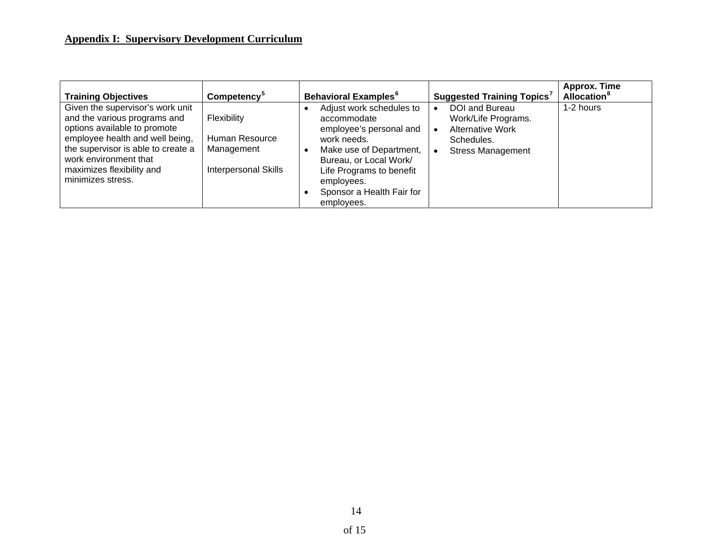| <b>Training Objectives</b>                                                                                                                                                                                                                           | Competency <sup>5</sup>                                                    | <b>Behavioral Examples<sup>6</sup></b>                                                                                                                                                                                      | <b>Suggested Training Topics</b> <sup>7</sup>                                                              | Approx. Time<br><b>Allocation</b> <sup>8</sup> |
|------------------------------------------------------------------------------------------------------------------------------------------------------------------------------------------------------------------------------------------------------|----------------------------------------------------------------------------|-----------------------------------------------------------------------------------------------------------------------------------------------------------------------------------------------------------------------------|------------------------------------------------------------------------------------------------------------|------------------------------------------------|
| Given the supervisor's work unit<br>and the various programs and<br>options available to promote<br>employee health and well being,<br>the supervisor is able to create a<br>work environment that<br>maximizes flexibility and<br>minimizes stress. | Flexibility<br>Human Resource<br>Management<br><b>Interpersonal Skills</b> | Adjust work schedules to<br>accommodate<br>employee's personal and<br>work needs.<br>Make use of Department,<br>Bureau, or Local Work/<br>Life Programs to benefit<br>employees.<br>Sponsor a Health Fair for<br>employees. | DOI and Bureau<br>Work/Life Programs.<br><b>Alternative Work</b><br>Schedules.<br><b>Stress Management</b> | 1-2 hours                                      |